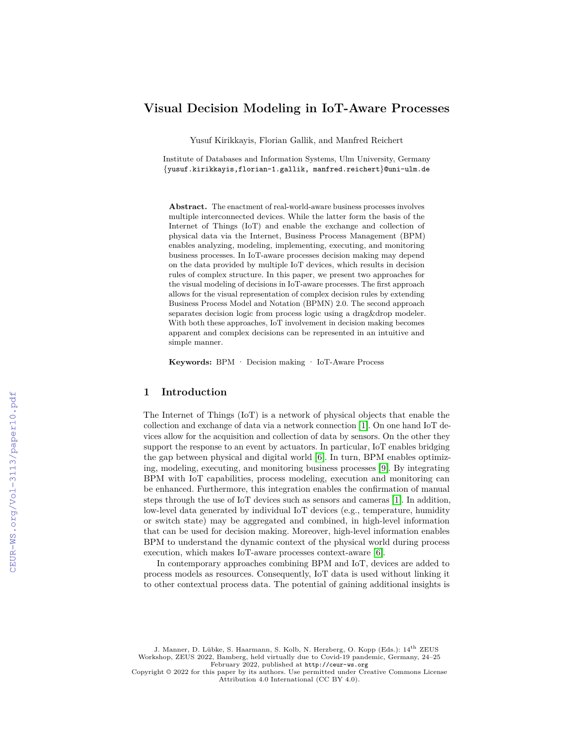# **Visual Decision Modeling in IoT-Aware Processes**

Yusuf Kirikkayis, Florian Gallik, and Manfred Reichert

Institute of Databases and Information Systems, Ulm University, Germany {yusuf.kirikkayis,florian-1.gallik, manfred.reichert}@uni-ulm.de

**Abstract.** The enactment of real-world-aware business processes involves multiple interconnected devices. While the latter form the basis of the Internet of Things (IoT) and enable the exchange and collection of physical data via the Internet, Business Process Management (BPM) enables analyzing, modeling, implementing, executing, and monitoring business processes. In IoT-aware processes decision making may depend on the data provided by multiple IoT devices, which results in decision rules of complex structure. In this paper, we present two approaches for the visual modeling of decisions in IoT-aware processes. The first approach allows for the visual representation of complex decision rules by extending Business Process Model and Notation (BPMN) 2.0. The second approach separates decision logic from process logic using a drag&drop modeler. With both these approaches, IoT involvement in decision making becomes apparent and complex decisions can be represented in an intuitive and simple manner.

**Keywords:** BPM · Decision making · IoT-Aware Process

# **1 Introduction**

The Internet of Things (IoT) is a network of physical objects that enable the collection and exchange of data via a network connection [1]. On one hand IoT devices allow for the acquisition and collection of data by sensors. On the other they support the response to an event by actuators. In particular, IoT enables bridging the gap between physical and digital world [6]. In turn, BPM enables optimizing, modeling, executing, and monitoring business processes [9]. By integrating BPM with IoT capabilities, process modeling, execution and monitoring can be enhanced. Furthermore, this integration enables the confirmation of manual steps through the use of IoT devices such as sensors and cameras [1]. In addition, low-level data generated by individual IoT devices (e.g., temperature, humidity or switch state) may be aggregated and combined, in high-level information that can be used for decision making. Moreover, high-level information enables BPM to understand the dynamic context of the physical world during process execution, which makes IoT-aware processes context-aware [6].

In contemporary approaches combining BPM and IoT, devices are added to process models as resources. Consequently, IoT data is used without linking it to other contextual process data. The potential of gaining additional insights is

J. Manner, D. Lübke, S. Haarmann, S. Kolb, N. Herzberg, O. Kopp (Eds.): 14th ZEUS Workshop, ZEUS 2022, Bamberg, held virtually due to Covid-19 pandemic, Germany, 24–25 February 2022, published at <http://ceur-ws.org>

Copyright © 2022 for this paper by its authors. Use permitted under Creative Commons License Attribution 4.0 International (CC BY 4.0).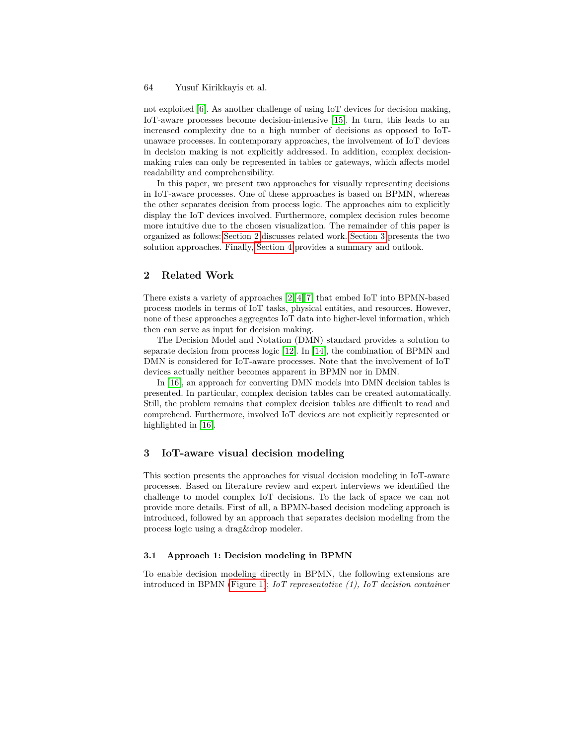## 64 Yusuf Kirikkayis et al.

not exploited [6]. As another challenge of using IoT devices for decision making, IoT-aware processes become decision-intensive [15]. In turn, this leads to an increased complexity due to a high number of decisions as opposed to IoTunaware processes. In contemporary approaches, the involvement of IoT devices in decision making is not explicitly addressed. In addition, complex decisionmaking rules can only be represented in tables or gateways, which affects model readability and comprehensibility.

In this paper, we present two approaches for visually representing decisions in IoT-aware processes. One of these approaches is based on BPMN, whereas the other separates decision from process logic. The approaches aim to explicitly display the IoT devices involved. Furthermore, complex decision rules become more intuitive due to the chosen visualization. The remainder of this paper is organized as follows: Section 2 discusses related work. Section 3 presents the two solution approaches. Finally, Section 4 provides a summary and outlook.

## **2 Related Work**

There exists a variety of approaches [2][4][7] that embed IoT into BPMN-based process models in terms of IoT tasks, physical entities, and resources. However, none of these approaches aggregates IoT data into higher-level information, which then can serve as input for decision making.

The Decision Model and Notation (DMN) standard provides a solution to separate decision from process logic [12]. In [14], the combination of BPMN and DMN is considered for IoT-aware processes. Note that the involvement of IoT devices actually neither becomes apparent in BPMN nor in DMN.

In [16], an approach for converting DMN models into DMN decision tables is presented. In particular, complex decision tables can be created automatically. Still, the problem remains that complex decision tables are difficult to read and comprehend. Furthermore, involved IoT devices are not explicitly represented or highlighted in [16].

## **3 IoT-aware visual decision modeling**

This section presents the approaches for visual decision modeling in IoT-aware processes. Based on literature review and expert interviews we identified the challenge to model complex IoT decisions. To the lack of space we can not provide more details. First of all, a BPMN-based decision modeling approach is introduced, followed by an approach that separates decision modeling from the process logic using a drag&drop modeler.

#### **3.1 Approach 1: Decision modeling in BPMN**

To enable decision modeling directly in BPMN, the following extensions are introduced in BPMN (Figure 1); *IoT representative (1), IoT decision container*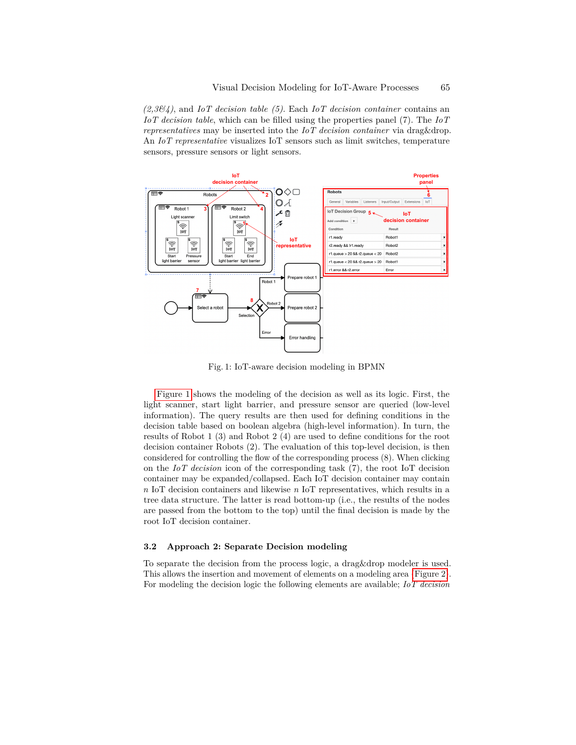*(2,3&4)*, and *IoT decision table (5)*. Each *IoT decision container* contains an *IoT decision table*, which can be filled using the properties panel (7). The *IoT representatives* may be inserted into the *IoT decision container* via drag&drop. An *IoT representative* visualizes IoT sensors such as limit switches, temperature sensors, pressure sensors or light sensors.



Fig. 1: IoT-aware decision modeling in BPMN

Figure 1 shows the modeling of the decision as well as its logic. First, the light scanner, start light barrier, and pressure sensor are queried (low-level information). The query results are then used for defining conditions in the decision table based on boolean algebra (high-level information). In turn, the results of Robot 1 (3) and Robot 2 (4) are used to define conditions for the root decision container Robots (2). The evaluation of this top-level decision, is then considered for controlling the flow of the corresponding process (8). When clicking on the *IoT decision* icon of the corresponding task (7), the root IoT decision container may be expanded/collapsed. Each IoT decision container may contain *n* IoT decision containers and likewise *n* IoT representatives, which results in a tree data structure. The latter is read bottom-up (i.e., the results of the nodes are passed from the bottom to the top) until the final decision is made by the root IoT decision container.

## **3.2 Approach 2: Separate Decision modeling**

To separate the decision from the process logic, a drag&drop modeler is used. This allows the insertion and movement of elements on a modeling area (Figure 2). For modeling the decision logic the following elements are available; *IoT decision*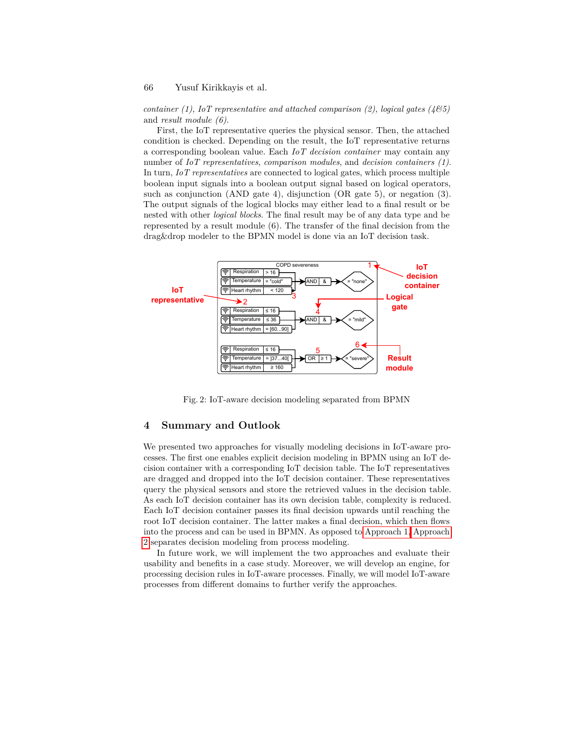## 66 Yusuf Kirikkayis et al.

*container (1), IoT representative and attached comparison (2), logical gates (4&5)* and *result module (6)*.

First, the IoT representative queries the physical sensor. Then, the attached condition is checked. Depending on the result, the IoT representative returns a corresponding boolean value. Each *IoT decision container* may contain any number of *IoT representatives*, *comparison modules*, and *decision containers (1)*. In turn, *IoT representatives* are connected to logical gates, which process multiple boolean input signals into a boolean output signal based on logical operators, such as conjunction (AND gate 4), disjunction (OR gate 5), or negation (3). The output signals of the logical blocks may either lead to a final result or be nested with other *logical blocks*. The final result may be of any data type and be represented by a result module (6). The transfer of the final decision from the drag&drop modeler to the BPMN model is done via an IoT decision task.



Fig. 2: IoT-aware decision modeling separated from BPMN

# **4 Summary and Outlook**

We presented two approaches for visually modeling decisions in IoT-aware processes. The first one enables explicit decision modeling in BPMN using an IoT decision container with a corresponding IoT decision table. The IoT representatives are dragged and dropped into the IoT decision container. These representatives query the physical sensors and store the retrieved values in the decision table. As each IoT decision container has its own decision table, complexity is reduced. Each IoT decision container passes its final decision upwards until reaching the root IoT decision container. The latter makes a final decision, which then flows into the process and can be used in BPMN. As opposed to Approach 1, Approach 2 separates decision modeling from process modeling.

In future work, we will implement the two approaches and evaluate their usability and benefits in a case study. Moreover, we will develop an engine, for processing decision rules in IoT-aware processes. Finally, we will model IoT-aware processes from different domains to further verify the approaches.